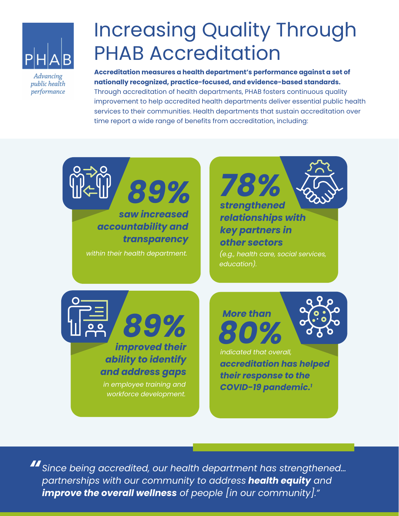

Advancing public health performance

## Increasing Quality Through PHAB Accreditation

**Accreditation measures a health department's performance against a set of nationally recognized, practice-focused, and evidence-based standards.**  Through accreditation of health departments, PHAB fosters continuous quality improvement to help accredited health departments deliver essential public health services to their communities. Health departments that sustain accreditation over time report a wide range of benefits from accreditation, including:



*Since being accredited, our health department has strengthened… " partnerships with our community to address health equity and improve the overall wellness of people [in our community]."*